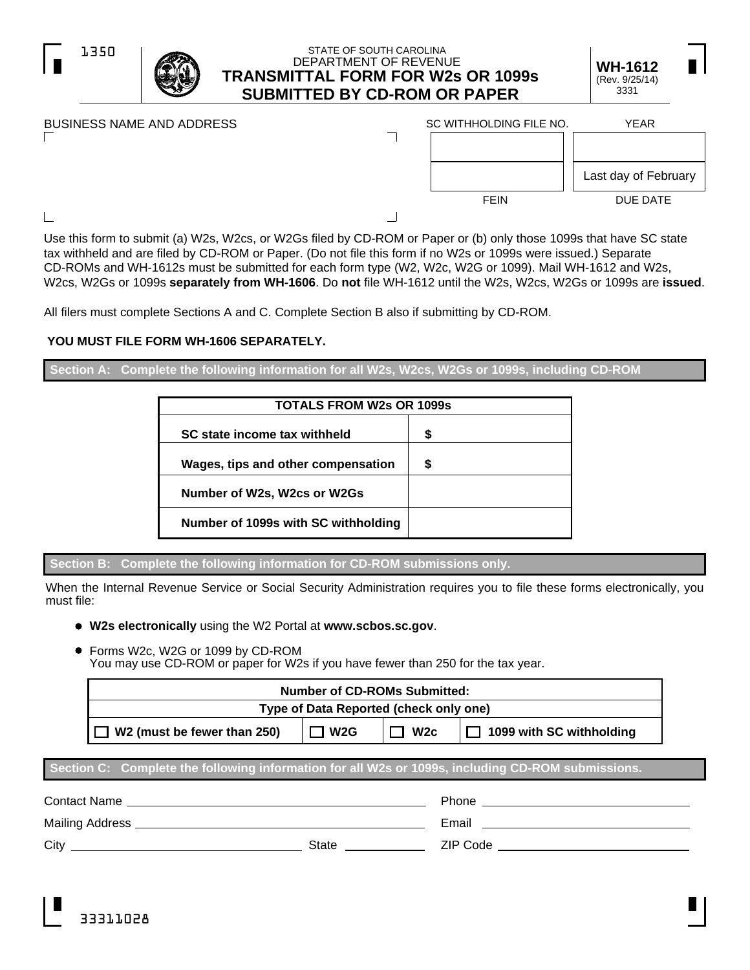

# STATE OF SOUTH CAROLINA DEPARTMENT OF REVENUE **TRANSMITTAL FORM FOR W2s OR 1099s SUBMITTED BY CD-ROM OR PAPER**

| <b>WH-1612</b> | П |  |
|----------------|---|--|
| (Rev. 9/25/14) |   |  |
| 3331           |   |  |

| BUSINESS NAME AND ADDRESS | SC WITHHOLDING FILE NO. | <b>YEAR</b>          |
|---------------------------|-------------------------|----------------------|
|                           |                         |                      |
|                           |                         | Last day of February |
|                           | <b>FEIN</b>             | DUE DATE             |
|                           |                         |                      |

 $\Box$ 

Г

Use this form to submit (a) W2s, W2cs, or W2Gs filed by CD-ROM or Paper or (b) only those 1099s that have SC state tax withheld and are filed by CD-ROM or Paper. (Do not file this form if no W2s or 1099s were issued.) Separate CD-ROMs and WH-1612s must be submitted for each form type (W2, W2c, W2G or 1099). Mail WH-1612 and W2s, W2cs, W2Gs or 1099s **separately from WH-1606**. Do **not** file WH-1612 until the W2s, W2cs, W2Gs or 1099s are **issued**.

All filers must complete Sections A and C. Complete Section B also if submitting by CD-ROM.

# **YOU MUST FILE FORM WH-1606 SEPARATELY.**

**Section A: Complete the following information for all W2s, W2cs, W2Gs or 1099s, including CD-ROM**

| <b>TOTALS FROM W2s OR 1099s</b>     |   |  |  |  |
|-------------------------------------|---|--|--|--|
| SC state income tax withheld        | S |  |  |  |
| Wages, tips and other compensation  | S |  |  |  |
| Number of W2s, W2cs or W2Gs         |   |  |  |  |
| Number of 1099s with SC withholding |   |  |  |  |

**Section B: Complete the following information for CD-ROM submissions only.**

When the Internal Revenue Service or Social Security Administration requires you to file these forms electronically, you must file:

- **W2s electronically** using the W2 Portal at **www.scbos.sc.gov**.
- Forms W2c, W2G or 1099 by CD-ROM  $\bullet$ You may use CD-ROM or paper for W2s if you have fewer than 250 for the tax year.

| <b>Number of CD-ROMs Submitted:</b>    |     |     |                          |
|----------------------------------------|-----|-----|--------------------------|
| Type of Data Reported (check only one) |     |     |                          |
| W2 (must be fewer than 250)            | W2G | W2c | 1099 with SC withholding |

# **Section C: Complete the following information for all W2s or 1099s, including CD-ROM submissions.**

| Contact Name    |       | <b>Phone</b> |
|-----------------|-------|--------------|
| Mailing Address |       | Email        |
| City            | State | ZIP Code     |